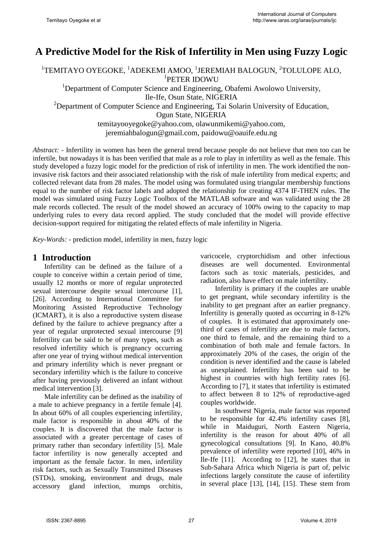# **A Predictive Model for the Risk of Infertility in Men using Fuzzy Logic**

 $^1$ TEMITAYO OYEGOKE,  $^1$ ADEKEMI AMOO,  $^1$ JEREMIAH BALOGUN,  $^2$ TOLULOPE ALO, 1 PETER IDOWU

<sup>1</sup>Department of Computer Science and Engineering, Obafemi Awolowo University, Ile-Ife, Osun State, NIGERIA <sup>2</sup>Department of Computer Science and Engineering, Tai Solarin University of Education, Ogun State, NIGERIA [temitayooyegoke@yahoo.com, olawunmikemi@yahoo.com,](mailto:temitayooyegoke@yahoo.com,%20olawunmikemi@yahoo.com)

jeremiahbalogun@gmail.com, paidowu@oauife.edu.ng

*Abstract: -* Infertility in women has been the general trend because people do not believe that men too can be infertile, but nowadays it is has been verified that male as a role to play in infertility as well as the female. This study developed a fuzzy logic model for the prediction of risk of infertility in men. The work identified the noninvasive risk factors and their associated relationship with the risk of male infertility from medical experts; and collected relevant data from 28 males. The model using was formulated using triangular membership functions equal to the number of risk factor labels and adopted the relationship for creating 4374 IF-THEN rules. The model was simulated using Fuzzy Logic Toolbox of the MATLAB software and was validated using the 28 male records collected. The result of the model showed an accuracy of 100% owing to the capacity to map underlying rules to every data record applied. The study concluded that the model will provide effective decision-support required for mitigating the related effects of male infertility in Nigeria.

*Key-Words: -* prediction model, infertility in men, fuzzy logic

### **1 Introduction**

Infertility can be defined as the failure of a couple to conceive within a certain period of time, usually 12 months or more of regular unprotected sexual intercourse despite sexual intercourse [1], [26]. According to International Committee for Monitoring Assisted Reproductive Technology (ICMART), it is also a reproductive system disease defined by the failure to achieve pregnancy after a year of regular unprotected sexual intercourse [9] Infertility can be said to be of many types, such as resolved infertility which is pregnancy occurring after one year of trying without medical intervention and primary infertility which is never pregnant or secondary infertility which is the failure to conceive after having previously delivered an infant without medical intervention [3].

Male infertility can be defined as the inability of a male to achieve pregnancy in a fertile female [4]. In about 60% of all couples experiencing infertility, male factor is responsible in about 40% of the couples. It is discovered that the male factor is associated with a greater percentage of cases of primary rather than secondary infertility [5]. Male factor infertility is now generally accepted and important as the female factor. In men, infertility risk factors, such as Sexually Transmitted Diseases (STDs), smoking, environment and drugs, male accessory gland infection, mumps orchitis, varicocele, cryptorchidism and other infectious diseases are well documented. Environmental factors such as toxic materials, pesticides, and radiation, also have effect on male infertility.

Infertility is primary if the couples are unable to get pregnant, while secondary infertility is the inability to get pregnant after an earlier pregnancy. Infertility is generally quoted as occurring in 8-12% of couples. It is estimated that approximately onethird of cases of infertility are due to male factors, one third to female, and the remaining third to a combination of both male and female factors. In approximately 20% of the cases, the origin of the condition is never identified and the cause is labeled as unexplained. Infertility has been said to be highest in countries with high fertility rates [6]. According to [7], it states that infertility is estimated to affect between 8 to 12% of reproductive-aged couples worldwide.

In southwest Nigeria, male factor was reported to be responsible for 42.4% infertility cases [8], while in Maiduguri, North Eastern Nigeria, infertility is the reason for about 40% of all gynecological consultations [9]. In Kano, 40.8% prevalence of infertility were reported [10], 46% in Ile-Ife [11]. According to [12], he states that in Sub-Sahara Africa which Nigeria is part of, pelvic infections largely constitute the cause of infertility in several place [13], [14], [15]. These stem from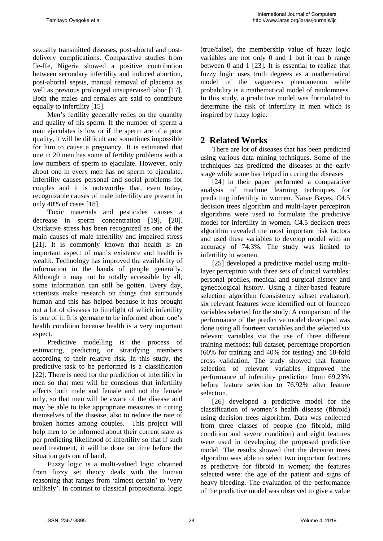sexually transmitted diseases, post-abortal and postdelivery complications. Comparative studies from Ile-Ife, Nigeria showed a positive contribution between secondary infertility and induced abortion, post-abortal sepsis, manual removal of placenta as well as previous prolonged unsupervised labor [17]. Both the males and females are said to contribute equally to infertility [15].

Men's fertility generally relies on the quantity and quality of his sperm. If the number of sperm a man ejaculates is low or if the sperm are of a poor quality, it will be difficult and sometimes impossible for him to cause a pregnancy. It is estimated that one in 20 men has some of fertility problems with a low numbers of sperm to ejaculate. However, only about one in every men has no sperm to ejaculate. Infertility causes personal and social problems for couples and it is noteworthy that, even today, recognizable causes of male infertility are present in only 40% of cases [18].

Toxic materials and pesticides causes a decrease in sperm concentration [19], [20]. Oxidative stress has been recognized as one of the main causes of male infertility and impaired stress [21]. It is commonly known that health is an important aspect of man's existence and health is wealth. Technology has improved the availability of information in the hands of people generally. Although it may not be totally accessible by all, some information can still be gotten. Every day, scientists make research on things that surrounds human and this has helped because it has brought out a lot of diseases to limelight of which infertility is one of it. It is germane to be informed about one's health condition because health is a very important aspect.

Predictive modelling is the process of estimating, predicting or stratifying members according to their relative risk. In this study, the predictive task to be performed is a classification [22]. There is need for the prediction of infertility in men so that men will be conscious that infertility affects both male and female and not the female only, so that men will be aware of the disease and may be able to take appropriate measures in curing themselves of the disease, also to reduce the rate of broken homes among couples. This project will help men to be informed about their current state as per predicting likelihood of infertility so that if such need treatment, it will be done on time before the situation gets out of hand.

Fuzzy logic is a multi-valued logic obtained from fuzzy set theory deals with the human reasoning that ranges from 'almost certain' to 'very unlikely'. In contrast to classical propositional logic (true/false), the membership value of fuzzy logic variables are not only 0 and 1 but it can b range between 0 and 1 [23]. It is essential to realize that fuzzy logic uses truth degrees as a mathematical model of the vagueness phenomenon while probability is a mathematical model of randomness. In this study, a predictive model was formulated to determine the risk of infertility in men which is inspired by fuzzy logic.

# **2 Related Works**

There are lot of diseases that has been predicted using various data mining techniques. Some of the techniques has predicted the diseases at the early stage while some has helped in curing the diseases

[24] in their paper performed a comparative analysis of machine learning techniques for predicting infertility in women. Naïve Bayes, C4.5 decision trees algorithm and multi-layer perceptron algorithms were used to formulate the predictive model for infertility in women. C4.5 decision trees algorithm revealed the most important risk factors and used these variables to develop model with an accuracy of 74.3%. The study was limited to infertility in women.

[25] developed a predictive model using multilayer perceptron with three sets of clinical variables: personal profiles, medical and surgical history and gynecological history. Using a filter-based feature selection algorithm (consistency subset evaluator), six relevant features were identified out of fourteen variables selected for the study. A comparison of the performance of the predictive model developed was done using all fourteen variables and the selected six relevant variables via the use of three different training methods; full dataset, percentage proportion (60% for training and 40% for testing) and 10-fold cross validation. The study showed that feature selection of relevant variables improved the performance of infertility prediction from 69.23% before feature selection to 76.92% after feature selection.

[26] developed a predictive model for the classification of women's health disease (fibroid) using decision trees algorithm. Data was collected from three classes of people (no fibroid, mild condition and severe condition) and eight features were used in developing the proposed predictive model. The results showed that the decision trees algorithm was able to select two important features as predictive for fibroid in women; the features selected were: the age of the patient and signs of heavy bleeding. The evaluation of the performance of the predictive model was observed to give a value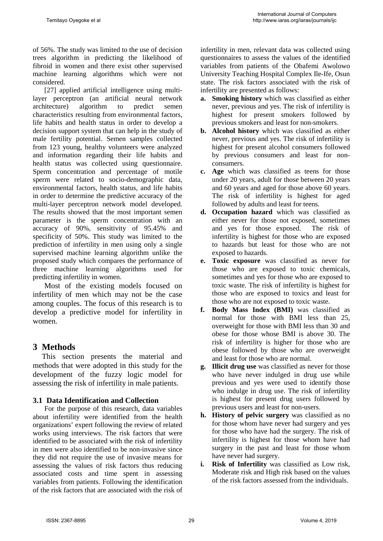of 56%. The study was limited to the use of decision trees algorithm in predicting the likelihood of fibroid in women and there exist other supervised machine learning algorithms which were not considered.

[27] applied artificial intelligence using multilayer perceptron (an artificial neural network architecture) algorithm to predict semen characteristics resulting from environmental factors, life habits and health status in order to develop a decision support system that can help in the study of male fertility potential. Semen samples collected from 123 young, healthy volunteers were analyzed and information regarding their life habits and health status was collected using questionnaire. Sperm concentration and percentage of motile sperm were related to socio-demographic data, environmental factors, health status, and life habits in order to determine the predictive accuracy of the multi-layer perceptron network model developed. The results showed that the most important semen parameter is the sperm concentration with an accuracy of 90%, sensitivity of 95.45% and specificity of 50%. This study was limited to the prediction of infertility in men using only a single supervised machine learning algorithm unlike the proposed study which compares the performance of three machine learning algorithms used for predicting infertility in women.

Most of the existing models focused on infertility of men which may not be the case among couples. The focus of this research is to develop a predictive model for infertility in women.

### **3 Methods**

This section presents the material and methods that were adopted in this study for the development of the fuzzy logic model for assessing the risk of infertility in male patients.

#### **3.1 Data Identification and Collection**

For the purpose of this research, data variables about infertility were identified from the health organizations' expert following the review of related works using interviews. The risk factors that were identified to be associated with the risk of infertility in men were also identified to be non-invasive since they did not require the use of invasive means for assessing the values of risk factors thus reducing associated costs and time spent in assessing variables from patients. Following the identification of the risk factors that are associated with the risk of infertility in men, relevant data was collected using questionnaires to assess the values of the identified variables from patients of the Obafemi Awolowo University Teaching Hospital Complex Ile-Ife, Osun state. The risk factors associated with the risk of infertility are presented as follows:

- **a. Smoking history** which was classified as either never, previous and yes. The risk of infertility is highest for present smokers followed by previous smokers and least for non-smokers.
- **b. Alcohol history** which was classified as either never, previous and yes. The risk of infertility is highest for present alcohol consumers followed by previous consumers and least for nonconsumers.
- **c. Age** which was classified as teens for those under 20 years, adult for those between 20 years and 60 years and aged for those above 60 years. The risk of infertility is highest for aged followed by adults and least for teens.
- **d. Occupation hazard** which was classified as either never for those not exposed, sometimes and yes for those exposed. The risk of infertility is highest for those who are exposed to hazards but least for those who are not exposed to hazards.
- **e. Toxic exposure** was classified as never for those who are exposed to toxic chemicals, sometimes and yes for those who are exposed to toxic waste. The risk of infertility is highest for those who are exposed to toxics and least for those who are not exposed to toxic waste.
- **f. Body Mass Index (BMI)** was classified as normal for those with BMI less than 25, overweight for those with BMI less than 30 and obese for those whose BMI is above 30. The risk of infertility is higher for those who are obese followed by those who are overweight and least for those who are normal.
- **g. Illicit drug use** was classified as never for those who have never indulged in drug use while previous and yes were used to identify those who indulge in drug use. The risk of infertility is highest for present drug users followed by previous users and least for non-users.
- **h. History of pelvic surgery** was classified as no for those whom have never had surgery and yes for those who have had the surgery. The risk of infertility is highest for those whom have had surgery in the past and least for those whom have never had surgery.
- **i. Risk of Infertility** was classified as Low risk, Moderate risk and High risk based on the values of the risk factors assessed from the individuals.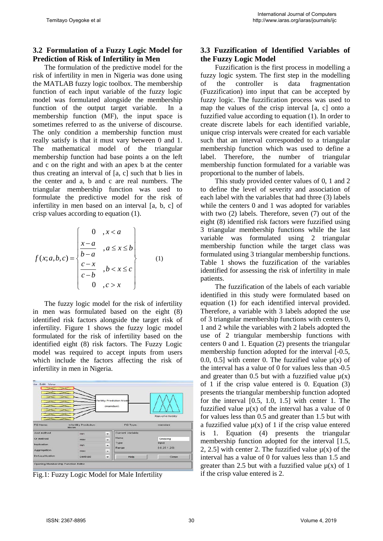### **3.2 Formulation of a Fuzzy Logic Model for Prediction of Risk of Infertility in Men**

The formulation of the predictive model for the risk of infertility in men in Nigeria was done using the MATLAB fuzzy logic toolbox. The membership function of each input variable of the fuzzy logic model was formulated alongside the membership function of the output target variable. In a membership function (MF), the input space is sometimes referred to as the universe of discourse. The only condition a membership function must really satisfy is that it must vary between 0 and 1. The mathematical model of the triangular membership function had base points a on the left and c on the right and with an apex b at the center thus creating an interval of [a, c] such that b lies in the center and a, b and c are real numbers. The triangular membership function was used to formulate the predictive model for the risk of infertility in men based on an interval [a, b, c] of crisp values according to equation (1).

$$
f(x;a,b,c) = \begin{cases} 0 & ,x < a \\ \frac{x-a}{b-a} & ,a \le x \le b \\ \frac{c-x}{c-b} & ,b < x \le c \\ 0 & ,c > x \end{cases}
$$
 (1)

The fuzzy logic model for the risk of infertility in men was formulated based on the eight (8) identified risk factors alongside the target risk of infertility. Figure 1 shows the fuzzy logic model formulated for the risk of infertility based on the identified eight (8) risk factors. The Fuzzy Logic model was required to accept inputs from users which include the factors affecting the risk of infertility in men in Nigeria.



Fig.1: Fuzzy Logic Model for Male Infertility

# **3.3 Fuzzification of Identified Variables of the Fuzzy Logic Model**

Fuzzification is the first process in modelling a fuzzy logic system. The first step in the modelling of the controller is data fragmentation (Fuzzification) into input that can be accepted by fuzzy logic. The fuzzification process was used to map the values of the crisp interval [a, c] onto a fuzzified value according to equation (1). In order to create discrete labels for each identified variable, unique crisp intervals were created for each variable such that an interval corresponded to a triangular membership function which was used to define a label. Therefore, the number of triangular membership function formulated for a variable was proportional to the number of labels.

This study provided center values of 0, 1 and 2 to define the level of severity and association of each label with the variables that had three (3) labels while the centers 0 and 1 was adopted for variables with two (2) labels. Therefore, seven (7) out of the eight (8) identified risk factors were fuzzified using 3 triangular membership functions while the last variable was formulated using 2 triangular membership function while the target class was formulated using 3 triangular membership functions. Table 1 shows the fuzzification of the variables identified for assessing the risk of infertility in male patients.

The fuzzification of the labels of each variable identified in this study were formulated based on equation (1) for each identified interval provided. Therefore, a variable with 3 labels adopted the use of 3 triangular membership functions with centers 0, 1 and 2 while the variables with 2 labels adopted the use of 2 triangular membership functions with centers 0 and 1. Equation (2) presents the triangular membership function adopted for the interval [-0.5, 0.0, 0.5] with center 0. The fuzzified value  $\mu(x)$  of the interval has a value of 0 for values less than -0.5 and greater than 0.5 but with a fuzzified value  $\mu(x)$ of 1 if the crisp value entered is 0. Equation (3) presents the triangular membership function adopted for the interval [0.5, 1.0, 1.5] with center 1. The fuzzified value  $\mu(x)$  of the interval has a value of 0 for values less than 0.5 and greater than 1.5 but with a fuzzified value  $\mu(x)$  of 1 if the crisp value entered is 1. Equation (4) presents the triangular membership function adopted for the interval [1.5, 2, 2.5] with center 2. The fuzzified value  $u(x)$  of the interval has a value of 0 for values less than 1.5 and greater than 2.5 but with a fuzzified value  $\mu(x)$  of 1 if the crisp value entered is 2.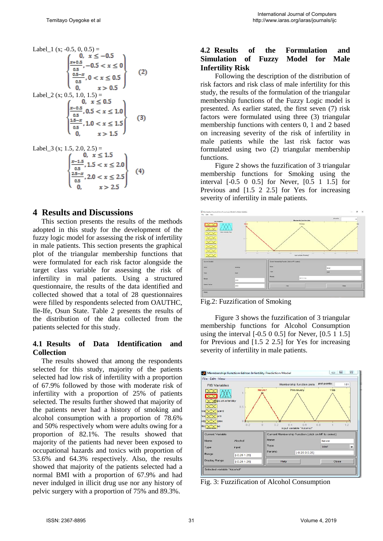Label<sub>1</sub> (x; -0.5, 0, 0.5) =  
\n
$$
\begin{cases}\n0, & x \le -0.5 \\
\frac{x+0.5}{0.5}, -0.5 < x \le 0 \\
\frac{0.5-x}{0.5}, 0 < x \le 0.5 \\
0, & x > 0.5\n\end{cases}
$$
\nLabel<sub>2</sub> (x; 0.5, 1.0, 1.5) =  
\n
$$
\begin{cases}\n0, & x \le 0.5 \\
0, & x > 0.5 \\
\frac{x-0.5}{0.5}, 0.5 < x \le 1.0 \\
\frac{1.5-x}{0.5}, 1.0 < x \le 1.5 \\
0, & x > 1.5\n\end{cases}
$$
\n(3)

Label\_3 (x; 1.5, 2.0, 2.5) =  
\n
$$
\begin{cases}\n0, & x \le 1.5 \\
\frac{x-1.5}{0.5}, 1.5 < x \le 2.0 \\
\frac{2.5-x}{0.5}, 2.0 < x \le 2.5 \\
0, & x > 2.5\n\end{cases}
$$
\n(4)

#### **4 Results and Discussions**

This section presents the results of the methods adopted in this study for the development of the fuzzy logic model for assessing the risk of infertility in male patients. This section presents the graphical plot of the triangular membership functions that were formulated for each risk factor alongside the target class variable for assessing the risk of infertility in mal patients. Using a structured questionnaire, the results of the data identified and collected showed that a total of 28 questionnaires were filled by respondents selected from OAUTHC, Ile-Ife, Osun State. Table 2 presents the results of the distribution of the data collected from the patients selected for this study.

#### **4.1 Results of Data Identification and Collection**

The results showed that among the respondents selected for this study, majority of the patients selected had low risk of infertility with a proportion of 67.9% followed by those with moderate risk of infertility with a proportion of 25% of patients selected. The results further showed that majority of the patients never had a history of smoking and alcohol consumption with a proportion of 78.6% and 50% respectively whom were adults owing for a proportion of 82.1%. The results showed that majority of the patients had never been exposed to occupational hazards and toxics with proportion of 53.6% and 64.3% respectively. Also, the results showed that majority of the patients selected had a normal BMI with a proportion of 67.9% and had never indulged in illicit drug use nor any history of pelvic surgery with a proportion of 75% and 89.3%.

### **4.2 Results of the Formulation and Simulation of Fuzzy Model for Male Infertility Risk**

Following the description of the distribution of risk factors and risk class of male infertility for this study, the results of the formulation of the triangular membership functions of the Fuzzy Logic model is presented. As earlier stated, the first seven (7) risk factors were formulated using three (3) triangular membership functions with centers 0, 1 and 2 based on increasing severity of the risk of infertility in male patients while the last risk factor was formulated using two (2) triangular membership functions.

Figure 2 shows the fuzzification of 3 triangular membership functions for Smoking using the interval [-0.5 0 0.5] for Never, [0.5 1 1.5] for Previous and [1.5 2 2.5] for Yes for increasing severity of infertility in male patients.



Fig.2: Fuzzification of Smoking

Figure 3 shows the fuzzification of 3 triangular membership functions for Alcohol Consumption using the interval [-0.5 0 0.5] for Never, [0.5 1 1.5] for Previous and [1.5 2 2.5] for Yes for increasing severity of infertility in male patients.



Fig. 3: Fuzzification of Alcohol Consumption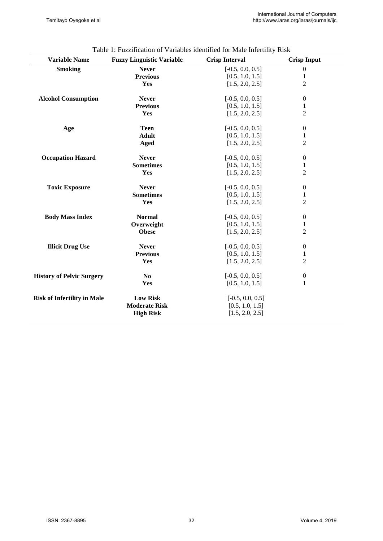| <b>Variable Name</b>               | <b>Fuzzy Linguistic Variable</b> | <b>Crisp Interval</b> | <b>Crisp Input</b> |
|------------------------------------|----------------------------------|-----------------------|--------------------|
| <b>Smoking</b>                     | <b>Never</b>                     | $[-0.5, 0.0, 0.5]$    | $\boldsymbol{0}$   |
|                                    | <b>Previous</b>                  | [0.5, 1.0, 1.5]       | $\mathbf{1}$       |
|                                    | Yes                              | [1.5, 2.0, 2.5]       | $\overline{2}$     |
|                                    |                                  |                       |                    |
| <b>Alcohol Consumption</b>         | <b>Never</b>                     | $[-0.5, 0.0, 0.5]$    | $\boldsymbol{0}$   |
|                                    | <b>Previous</b>                  | [0.5, 1.0, 1.5]       | $\mathbf{1}$       |
|                                    | Yes                              | [1.5, 2.0, 2.5]       | $\overline{c}$     |
| Age                                | <b>Teen</b>                      | $[-0.5, 0.0, 0.5]$    | $\boldsymbol{0}$   |
|                                    | <b>Adult</b>                     | [0.5, 1.0, 1.5]       | $\,1$              |
|                                    | Aged                             | [1.5, 2.0, 2.5]       | $\overline{2}$     |
|                                    |                                  |                       |                    |
| <b>Occupation Hazard</b>           | <b>Never</b>                     | $[-0.5, 0.0, 0.5]$    | $\boldsymbol{0}$   |
|                                    | <b>Sometimes</b>                 | [0.5, 1.0, 1.5]       | $\mathbf{1}$       |
|                                    | Yes                              | [1.5, 2.0, 2.5]       | $\overline{c}$     |
| <b>Toxic Exposure</b>              | <b>Never</b>                     | $[-0.5, 0.0, 0.5]$    | $\boldsymbol{0}$   |
|                                    | <b>Sometimes</b>                 | [0.5, 1.0, 1.5]       | $\mathbf{1}$       |
|                                    | Yes                              | [1.5, 2.0, 2.5]       | $\overline{2}$     |
| <b>Body Mass Index</b>             | <b>Normal</b>                    | $[-0.5, 0.0, 0.5]$    | $\boldsymbol{0}$   |
|                                    | Overweight                       | [0.5, 1.0, 1.5]       | $\mathbf{1}$       |
|                                    | <b>Obese</b>                     | [1.5, 2.0, 2.5]       | $\overline{2}$     |
|                                    |                                  |                       |                    |
| <b>Illicit Drug Use</b>            | <b>Never</b>                     | $[-0.5, 0.0, 0.5]$    | $\boldsymbol{0}$   |
|                                    | <b>Previous</b>                  | [0.5, 1.0, 1.5]       | $\mathbf{1}$       |
|                                    | Yes                              | [1.5, 2.0, 2.5]       | $\overline{2}$     |
| <b>History of Pelvic Surgery</b>   | N <sub>0</sub>                   | $[-0.5, 0.0, 0.5]$    | $\boldsymbol{0}$   |
|                                    | Yes                              | [0.5, 1.0, 1.5]       | $\mathbf{1}$       |
|                                    |                                  |                       |                    |
| <b>Risk of Infertility in Male</b> | <b>Low Risk</b>                  | $[-0.5, 0.0, 0.5]$    |                    |
|                                    | <b>Moderate Risk</b>             | [0.5, 1.0, 1.5]       |                    |
|                                    | <b>High Risk</b>                 | [1.5, 2.0, 2.5]       |                    |
|                                    |                                  |                       |                    |

# Table 1: Fuzzification of Variables identified for Male Infertility Risk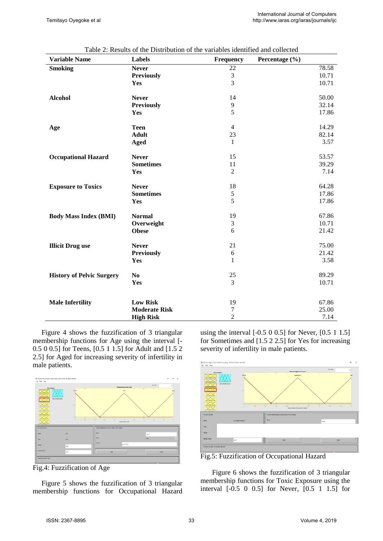| <b>Variable Name</b>             | <b>Labels</b>        | Frequency      | Percentage (%) |       |
|----------------------------------|----------------------|----------------|----------------|-------|
| <b>Smoking</b>                   | <b>Never</b>         | 22             |                | 78.58 |
|                                  | <b>Previously</b>    | $\frac{3}{3}$  |                | 10.71 |
|                                  | Yes                  |                |                | 10.71 |
| <b>Alcohol</b>                   | <b>Never</b>         | 14             |                | 50.00 |
|                                  | <b>Previously</b>    | 9              |                | 32.14 |
|                                  | Yes                  | 5              |                | 17.86 |
| Age                              | <b>Teen</b>          | $\overline{4}$ |                | 14.29 |
|                                  | <b>Adult</b>         | 23             |                | 82.14 |
|                                  | <b>Aged</b>          | $\mathbf{1}$   |                | 3.57  |
| <b>Occupational Hazard</b>       | <b>Never</b>         | 15             |                | 53.57 |
|                                  | <b>Sometimes</b>     | 11             |                | 39.29 |
|                                  | Yes                  | $\overline{2}$ |                | 7.14  |
| <b>Exposure to Toxics</b>        | <b>Never</b>         | 18             |                | 64.28 |
|                                  | <b>Sometimes</b>     | $\frac{5}{5}$  |                | 17.86 |
|                                  | Yes                  |                |                | 17.86 |
| <b>Body Mass Index (BMI)</b>     | <b>Normal</b>        | 19             |                | 67.86 |
|                                  | Overweight           | $\mathfrak{Z}$ |                | 10.71 |
|                                  | <b>Obese</b>         | 6              |                | 21.42 |
| <b>Illicit Drug use</b>          | <b>Never</b>         | 21             |                | 75.00 |
|                                  | <b>Previously</b>    | 6              |                | 21.42 |
|                                  | Yes                  | $\mathbf{1}$   |                | 3.58  |
| <b>History of Pelvic Surgery</b> | No                   | 25             |                | 89.29 |
|                                  | Yes                  | $\overline{3}$ |                | 10.71 |
| <b>Male Infertility</b>          | <b>Low Risk</b>      | 19             |                | 67.86 |
|                                  | <b>Moderate Risk</b> | $\tau$         |                | 25.00 |
|                                  | <b>High Risk</b>     | $\overline{2}$ |                | 7.14  |

| Table 2: Results of the Distribution of the variables identified and collected |  |  |  |  |
|--------------------------------------------------------------------------------|--|--|--|--|
|--------------------------------------------------------------------------------|--|--|--|--|

Figure 4 shows the fuzzification of 3 triangular membership functions for Age using the interval [- 0.5 0 0.5] for Teens, [0.5 1 1.5] for Adult and [1.5 2 2.5] for Aged for increasing severity of infertility in male patients.



Fig.4: Fuzzification of Age

Figure 5 shows the fuzzification of 3 triangular membership functions for Occupational Hazard using the interval [-0.5 0 0.5] for Never, [0.5 1 1.5] for Sometimes and [1.5 2 2.5] for Yes for increasing severity of infertility in male patients.



Fig.5: Fuzzification of Occupational Hazard

Figure 6 shows the fuzzification of 3 triangular membership functions for Toxic Exposure using the interval [-0.5 0 0.5] for Never, [0.5 1 1.5] for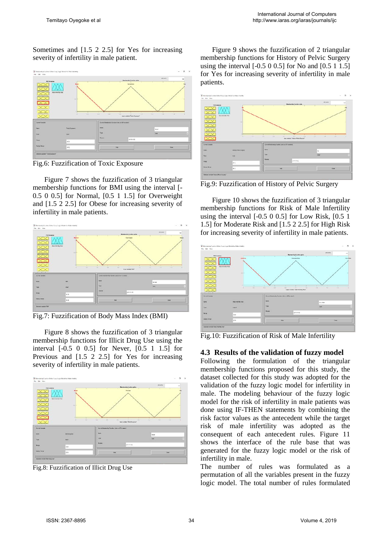Sometimes and [1.5 2 2.5] for Yes for increasing severity of infertility in male patient.



Fig.6: Fuzzification of Toxic Exposure

Figure 7 shows the fuzzification of 3 triangular membership functions for BMI using the interval [- 0.5 0 0.5] for Normal, [0.5 1 1.5] for Overweight and [1.5 2 2.5] for Obese for increasing severity of infertility in male patients.





Figure 8 shows the fuzzification of 3 triangular membership functions for Illicit Drug Use using the interval [-0.5 0 0.5] for Never, [0.5 1 1.5] for Previous and [1.5 2 2.5] for Yes for increasing severity of infertility in male patients.



Fig.8: Fuzzification of Illicit Drug Use

Figure 9 shows the fuzzification of 2 triangular membership functions for History of Pelvic Surgery using the interval [-0.5 0 0.5] for No and [0.5 1 1.5] for Yes for increasing severity of infertility in male patients.



Fig.9: Fuzzification of History of Pelvic Surgery

Figure 10 shows the fuzzification of 3 triangular membership functions for Risk of Male Infertility using the interval [-0.5 0 0.5] for Low Risk, [0.5 1 1.5] for Moderate Risk and [1.5 2 2.5] for High Risk for increasing severity of infertility in male patients.



Fig.10: Fuzzification of Risk of Male Infertility

#### **4.3 Results of the validation of fuzzy model**

Following the formulation of the triangular membership functions proposed for this study, the dataset collected for this study was adopted for the validation of the fuzzy logic model for infertility in male. The modeling behaviour of the fuzzy logic model for the risk of infertility in male patients was done using IF-THEN statements by combining the risk factor values as the antecedent while the target risk of male infertility was adopted as the consequent of each antecedent rules. Figure 11 shows the interface of the rule base that was generated for the fuzzy logic model or the risk of infertility in male.

The number of rules was formulated as a permutation of all the variables present in the fuzzy logic model. The total number of rules formulated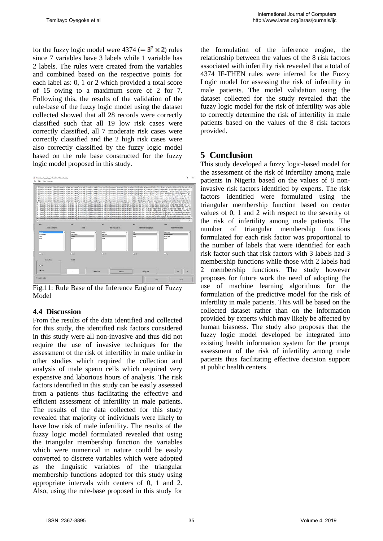for the fuzzy logic model were  $4374 (= 3^7 \times 2)$  rules since 7 variables have 3 labels while 1 variable has 2 labels. The rules were created from the variables and combined based on the respective points for each label as: 0, 1 or 2 which provided a total score of 15 owing to a maximum score of 2 for 7. Following this, the results of the validation of the rule-base of the fuzzy logic model using the dataset collected showed that all 28 records were correctly classified such that all 19 low risk cases were correctly classified, all 7 moderate risk cases were correctly classified and the 2 high risk cases were also correctly classified by the fuzzy logic model based on the rule base constructed for the fuzzy logic model proposed in this study.



Fig.11: Rule Base of the Inference Engine of Fuzzy Model

#### **4.4 Discussion**

From the results of the data identified and collected for this study, the identified risk factors considered in this study were all non-invasive and thus did not require the use of invasive techniques for the assessment of the risk of infertility in male unlike in other studies which required the collection and analysis of male sperm cells which required very expensive and laborious hours of analysis. The risk factors identified in this study can be easily assessed from a patients thus facilitating the effective and efficient assessment of infertility in male patients. The results of the data collected for this study revealed that majority of individuals were likely to have low risk of male infertility. The results of the fuzzy logic model formulated revealed that using the triangular membership function the variables which were numerical in nature could be easily converted to discrete variables which were adopted as the linguistic variables of the triangular membership functions adopted for this study using appropriate intervals with centers of 0, 1 and 2. Also, using the rule-base proposed in this study for the formulation of the inference engine, the relationship between the values of the 8 risk factors associated with infertility risk revealed that a total of 4374 IF-THEN rules were inferred for the Fuzzy Logic model for assessing the risk of infertility in male patients. The model validation using the dataset collected for the study revealed that the fuzzy logic model for the risk of infertility was able to correctly determine the risk of infertility in male patients based on the values of the 8 risk factors provided.

### **5 Conclusion**

This study developed a fuzzy logic-based model for the assessment of the risk of infertility among male patients in Nigeria based on the values of 8 noninvasive risk factors identified by experts. The risk factors identified were formulated using the triangular membership function based on center values of 0, 1 and 2 with respect to the severity of the risk of infertility among male patients. The number of triangular membership functions formulated for each risk factor was proportional to the number of labels that were identified for each risk factor such that risk factors with 3 labels had 3 membership functions while those with 2 labels had 2 membership functions. The study however proposes for future work the need of adopting the use of machine learning algorithms for the formulation of the predictive model for the risk of infertility in male patients. This will be based on the collected dataset rather than on the information provided by experts which may likely be affected by human biasness. The study also proposes that the fuzzy logic model developed be integrated into existing health information system for the prompt assessment of the risk of infertility among male patients thus facilitating effective decision support at public health centers.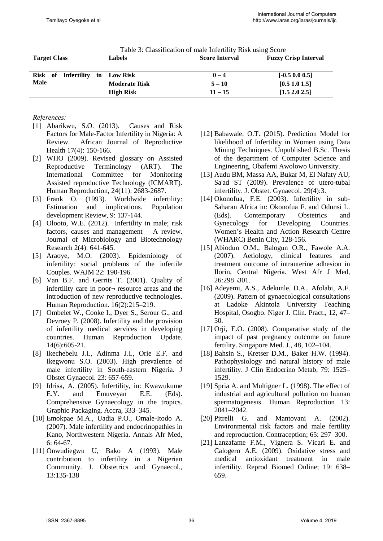| <b>Target Class</b> |                     |    | <b>Labels</b>        | <b>Score Interval</b> | <b>Fuzzy Crisp Interval</b> |
|---------------------|---------------------|----|----------------------|-----------------------|-----------------------------|
|                     | Risk of Infertility | in | <b>Low Risk</b>      | $0 - 4$               | $[-0.5, 0.0, 0.5]$          |
| <b>Male</b>         |                     |    | <b>Moderate Risk</b> | $5 - 10$              | [0.5 1.0 1.5]               |
|                     |                     |    | <b>High Risk</b>     | $11 - 15$             | [1.5 2.0 2.5]               |

#### Table 3: Classification of male Infertility Risk using Score

#### *References:*

- [1] Abarikwu, S.O. (2013). Causes and Risk Factors for Male-Factor Infertility in Nigeria: A Review. African Journal of Reproductive Health 17(4): 150-166.
- [2] WHO (2009). Revised glossary on Assisted Reproductive Terminology (ART). The International Committee for Monitoring Assisted reproductive Technology (ICMART). Human Reproduction, 24(11): 2683-2687.
- [3] Frank O. (1993). Worldwide infertility: Estimation and implications. Population development Review, 9: 137-144.
- [4] Olooto, W.E. (2012). Infertility in male; risk factors, causes and management – A review. Journal of Microbiology and Biotechnology Research 2(4): 641-645.
- [5] Araoye, M.O. (2003). Epidemiology of infertility: social problems of the infertile Couples. WAJM 22: 190-196.
- [6] Van B.F. and Gerrits T. (2001). Quality of infertility care in poor¬ resource areas and the introduction of new reproductive technologies. Human Reproduction. 16(2):215–219.
- [7] Ombelet W., Cooke I., Dyer S., Serour G., and Devroey P. (2008). Infertility and the provision of infertility medical services in developing countries. Human Reproduction Update. 14(6):605-21.
- [8] Ikechebelu J.I., Adinma J.I., Orie E.F. and Ikegwonu S.O. (2003). High prevalence of male infertility in South-eastern Nigeria. J Obstet Gynaecol. 23: 657-659.
- [9] Idrisa, A. (2005). Infertility, in: Kwawukume E.Y. and Emuveyan E.E. (Eds). Comprehensive Gynaecology in the tropics. Graphic Packaging. Accra, 333–345.
- [10] Emokpae M.A., Uadia P.O., Omale-Itodo A. (2007). Male infertility and endocrinopathies in Kano, Northwestern Nigeria. Annals Afr Med, 6: 64-67.
- [11] Onwudiegwu U, Bako A (1993). Male contribution to infertility in a Nigerian Community. J. Obstetrics and Gynaecol., 13:135-138
- [12] Babawale, O.T. (2015). Prediction Model for likelihood of Infertility in Women using Data Mining Techniques. Unpublished B.Sc. Thesis of the department of Computer Science and Engineering, Obafemi Awolowo University.
- [13] Audu BM, Massa AA, Bukar M, El Nafaty AU, Sa'ad ST (2009). Prevalence of utero-tubal infertility. J. Obstet. Gynaecol. 29(4):3.
- [14] Okonofua, F.E. (2003). Infertility in sub-Saharan Africa in: Okonofua F. and Odunsi L.<br>(Eds). Contemporary Obstetrics and Contemporary Obstetrics and Gynecology for Developing Countries. Women's Health and Action Research Centre (WHARC) Benin City, 128-156.
- [15] Abiodun O.M., Balogun O.R., Fawole A.A. (2007). Aetiology, clinical features and treatment outcome of intrauterine adhesion in Ilorin, Central Nigeria. West Afr J Med, 26:298¬301.
- [16] Adeyemi, A.S., Adekunle, D.A., Afolabi, A.F. (2009). Pattern of gynaecological consultations at Ladoke Akintola University Teaching Hospital, Osogbo. Niger J. Clin. Pract., 12, 47– 50.
- [17] Orji, E.O. (2008). Comparative study of the impact of past pregnancy outcome on future fertility. Singapore Med. J., 48, 102–104.
- [18] Bahsin S., Kretser D.M., Baker H.W. (1994). Pathophysiology and natural history of male infertility. J Clin Endocrino Metab, 79: 1525– 1529.
- [19] Spria A. and Multigner L. (1998). The effect of industrial and agricultural pollution on human spermatogenesis. Human Reproduction 13: 2041–2042.
- [20] Pitrelli G. and Mantovani A. (2002). Environmental risk factors and male fertility and reproduction. Contraception; 65: 297–300.
- [21] Lanzafame F.M., Vignera S. Vicari E. and Calogero A.E. (2009). Oxidative stress and medical antioxidant treatment in male infertility. Reprod Biomed Online; 19: 638– 659.